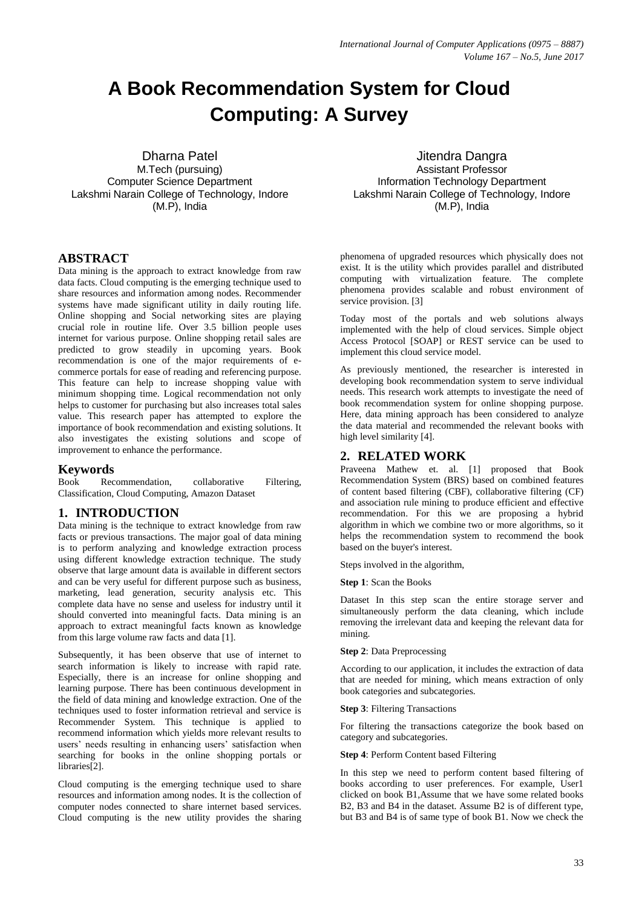# **A Book Recommendation System for Cloud Computing: A Survey**

Dharna Patel M.Tech (pursuing) Computer Science Department Lakshmi Narain College of Technology, Indore (M.P), India

## **ABSTRACT**

Data mining is the approach to extract knowledge from raw data facts. Cloud computing is the emerging technique used to share resources and information among nodes. Recommender systems have made significant utility in daily routing life. Online shopping and Social networking sites are playing crucial role in routine life. Over 3.5 billion people uses internet for various purpose. Online shopping retail sales are predicted to grow steadily in upcoming years. Book recommendation is one of the major requirements of ecommerce portals for ease of reading and referencing purpose. This feature can help to increase shopping value with minimum shopping time. Logical recommendation not only helps to customer for purchasing but also increases total sales value. This research paper has attempted to explore the importance of book recommendation and existing solutions. It also investigates the existing solutions and scope of improvement to enhance the performance.

#### **Keywords**

Book Recommendation, collaborative Filtering, Classification, Cloud Computing, Amazon Dataset

## **1. INTRODUCTION**

Data mining is the technique to extract knowledge from raw facts or previous transactions. The major goal of data mining is to perform analyzing and knowledge extraction process using different knowledge extraction technique. The study observe that large amount data is available in different sectors and can be very useful for different purpose such as business, marketing, lead generation, security analysis etc. This complete data have no sense and useless for industry until it should converted into meaningful facts. Data mining is an approach to extract meaningful facts known as knowledge from this large volume raw facts and data [1].

Subsequently, it has been observe that use of internet to search information is likely to increase with rapid rate. Especially, there is an increase for online shopping and learning purpose. There has been continuous development in the field of data mining and knowledge extraction. One of the techniques used to foster information retrieval and service is Recommender System. This technique is applied to recommend information which yields more relevant results to users' needs resulting in enhancing users' satisfaction when searching for books in the online shopping portals or libraries[2].

Cloud computing is the emerging technique used to share resources and information among nodes. It is the collection of computer nodes connected to share internet based services. Cloud computing is the new utility provides the sharing

Jitendra Dangra Assistant Professor Information Technology Department Lakshmi Narain College of Technology, Indore (M.P), India

phenomena of upgraded resources which physically does not exist. It is the utility which provides parallel and distributed computing with virtualization feature. The complete phenomena provides scalable and robust environment of service provision. [3]

Today most of the portals and web solutions always implemented with the help of cloud services. Simple object Access Protocol [SOAP] or REST service can be used to implement this cloud service model.

As previously mentioned, the researcher is interested in developing book recommendation system to serve individual needs. This research work attempts to investigate the need of book recommendation system for online shopping purpose. Here, data mining approach has been considered to analyze the data material and recommended the relevant books with high level similarity [4].

## **2. RELATED WORK**

Praveena Mathew et. al. [1] proposed that Book Recommendation System (BRS) based on combined features of content based filtering (CBF), collaborative filtering (CF) and association rule mining to produce efficient and effective recommendation. For this we are proposing a hybrid algorithm in which we combine two or more algorithms, so it helps the recommendation system to recommend the book based on the buyer's interest.

Steps involved in the algorithm,

**Step 1**: Scan the Books

Dataset In this step scan the entire storage server and simultaneously perform the data cleaning, which include removing the irrelevant data and keeping the relevant data for mining.

#### **Step 2**: Data Preprocessing

According to our application, it includes the extraction of data that are needed for mining, which means extraction of only book categories and subcategories.

**Step 3**: Filtering Transactions

For filtering the transactions categorize the book based on category and subcategories.

**Step 4**: Perform Content based Filtering

In this step we need to perform content based filtering of books according to user preferences. For example, User1 clicked on book B1,Assume that we have some related books B2, B3 and B4 in the dataset. Assume B2 is of different type, but B3 and B4 is of same type of book B1. Now we check the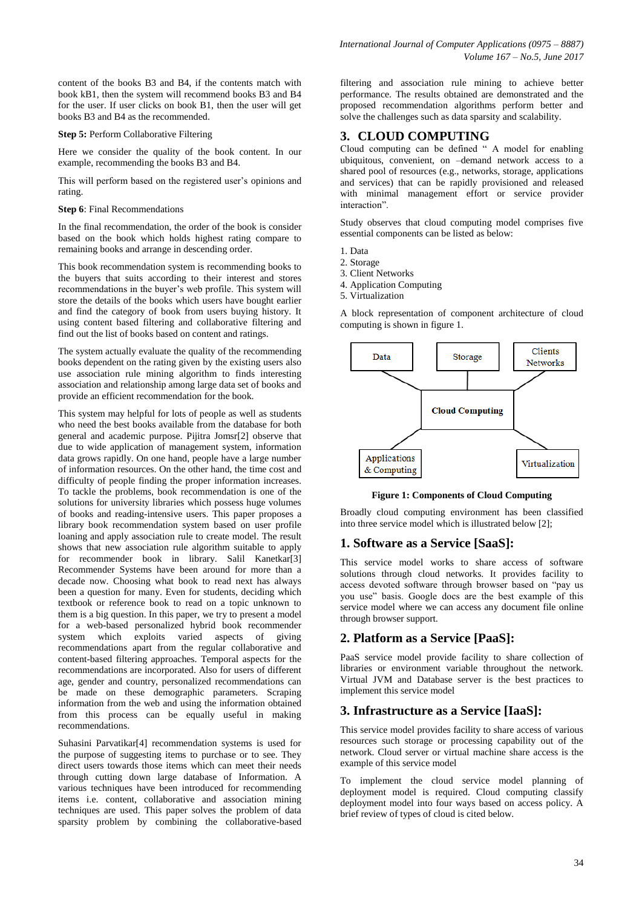content of the books B3 and B4, if the contents match with book kB1, then the system will recommend books B3 and B4 for the user. If user clicks on book B1, then the user will get books B3 and B4 as the recommended.

**Step 5:** Perform Collaborative Filtering

Here we consider the quality of the book content. In our example, recommending the books B3 and B4.

This will perform based on the registered user's opinions and rating.

**Step 6**: Final Recommendations

In the final recommendation, the order of the book is consider based on the book which holds highest rating compare to remaining books and arrange in descending order.

This book recommendation system is recommending books to the buyers that suits according to their interest and stores recommendations in the buyer's web profile. This system will store the details of the books which users have bought earlier and find the category of book from users buying history. It using content based filtering and collaborative filtering and find out the list of books based on content and ratings.

The system actually evaluate the quality of the recommending books dependent on the rating given by the existing users also use association rule mining algorithm to finds interesting association and relationship among large data set of books and provide an efficient recommendation for the book.

This system may helpful for lots of people as well as students who need the best books available from the database for both general and academic purpose. Pijitra Jomsr[2] observe that due to wide application of management system, information data grows rapidly. On one hand, people have a large number of information resources. On the other hand, the time cost and difficulty of people finding the proper information increases. To tackle the problems, book recommendation is one of the solutions for university libraries which possess huge volumes of books and reading-intensive users. This paper proposes a library book recommendation system based on user profile loaning and apply association rule to create model. The result shows that new association rule algorithm suitable to apply for recommender book in library. Salil Kanetkar[3] Recommender Systems have been around for more than a decade now. Choosing what book to read next has always been a question for many. Even for students, deciding which textbook or reference book to read on a topic unknown to them is a big question. In this paper, we try to present a model for a web-based personalized hybrid book recommender system which exploits varied aspects of giving recommendations apart from the regular collaborative and content-based filtering approaches. Temporal aspects for the recommendations are incorporated. Also for users of different age, gender and country, personalized recommendations can be made on these demographic parameters. Scraping information from the web and using the information obtained from this process can be equally useful in making recommendations.

Suhasini Parvatikar[4] recommendation systems is used for the purpose of suggesting items to purchase or to see. They direct users towards those items which can meet their needs through cutting down large database of Information. A various techniques have been introduced for recommending items i.e. content, collaborative and association mining techniques are used. This paper solves the problem of data sparsity problem by combining the collaborative-based filtering and association rule mining to achieve better performance. The results obtained are demonstrated and the proposed recommendation algorithms perform better and solve the challenges such as data sparsity and scalability.

## **3. CLOUD COMPUTING**

Cloud computing can be defined " A model for enabling ubiquitous, convenient, on –demand network access to a shared pool of resources (e.g., networks, storage, applications and services) that can be rapidly provisioned and released with minimal management effort or service provider interaction".

Study observes that cloud computing model comprises five essential components can be listed as below:

- 1. Data
- 2. Storage
- 3. Client Networks
- 4. Application Computing
- 5. Virtualization

A block representation of component architecture of cloud computing is shown in figure 1.



**Figure 1: Components of Cloud Computing**

Broadly cloud computing environment has been classified into three service model which is illustrated below [2];

## **1. Software as a Service [SaaS]:**

This service model works to share access of software solutions through cloud networks. It provides facility to access devoted software through browser based on "pay us you use" basis. Google docs are the best example of this service model where we can access any document file online through browser support.

## **2. Platform as a Service [PaaS]:**

PaaS service model provide facility to share collection of libraries or environment variable throughout the network. Virtual JVM and Database server is the best practices to implement this service model

## **3. Infrastructure as a Service [IaaS]:**

This service model provides facility to share access of various resources such storage or processing capability out of the network. Cloud server or virtual machine share access is the example of this service model

To implement the cloud service model planning of deployment model is required. Cloud computing classify deployment model into four ways based on access policy. A brief review of types of cloud is cited below.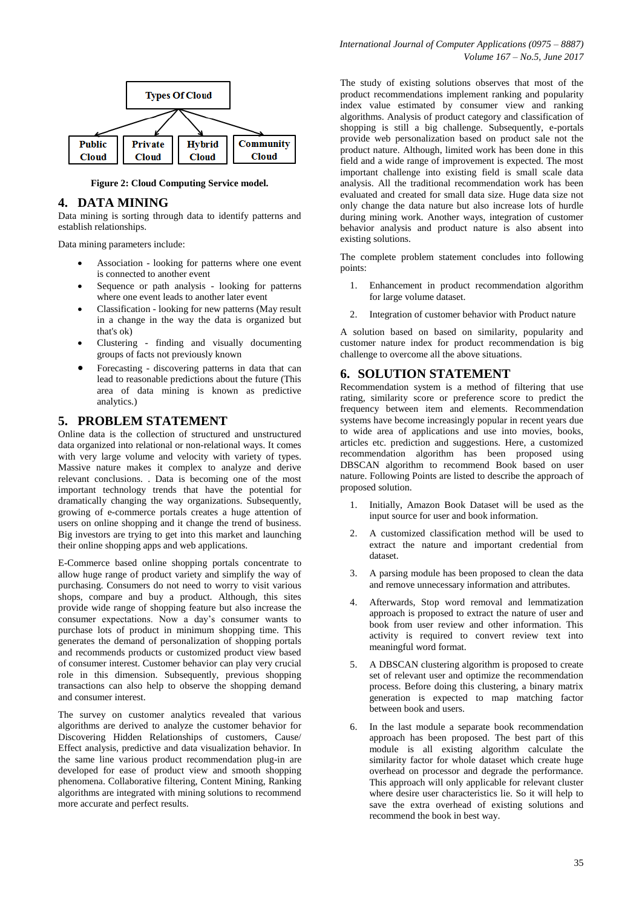

**Figure 2: Cloud Computing Service model.**

### **4. DATA MINING**

Data mining is sorting through data to identify patterns and establish relationships.

Data mining parameters include:

- Association looking for patterns where one event is connected to another event
- Sequence or path analysis looking for patterns where one event leads to another later event
- Classification looking for new patterns (May result in a change in the way the data is organized but that's ok)
- Clustering finding and visually documenting groups of facts not previously known
- Forecasting discovering patterns in data that can lead to reasonable predictions about the future (This area of data mining is known as predictive analytics.)

### **5. PROBLEM STATEMENT**

Online data is the collection of structured and unstructured data organized into relational or non-relational ways. It comes with very large volume and velocity with variety of types. Massive nature makes it complex to analyze and derive relevant conclusions. . Data is becoming one of the most important technology trends that have the potential for dramatically changing the way organizations. Subsequently, growing of e-commerce portals creates a huge attention of users on online shopping and it change the trend of business. Big investors are trying to get into this market and launching their online shopping apps and web applications.

E-Commerce based online shopping portals concentrate to allow huge range of product variety and simplify the way of purchasing. Consumers do not need to worry to visit various shops, compare and buy a product. Although, this sites provide wide range of shopping feature but also increase the consumer expectations. Now a day's consumer wants to purchase lots of product in minimum shopping time. This generates the demand of personalization of shopping portals and recommends products or customized product view based of consumer interest. Customer behavior can play very crucial role in this dimension. Subsequently, previous shopping transactions can also help to observe the shopping demand and consumer interest.

The survey on customer analytics revealed that various algorithms are derived to analyze the customer behavior for Discovering Hidden Relationships of customers, Cause/ Effect analysis, predictive and data visualization behavior. In the same line various product recommendation plug-in are developed for ease of product view and smooth shopping phenomena. Collaborative filtering, Content Mining, Ranking algorithms are integrated with mining solutions to recommend more accurate and perfect results.

The study of existing solutions observes that most of the product recommendations implement ranking and popularity index value estimated by consumer view and ranking algorithms. Analysis of product category and classification of shopping is still a big challenge. Subsequently, e-portals provide web personalization based on product sale not the product nature. Although, limited work has been done in this field and a wide range of improvement is expected. The most important challenge into existing field is small scale data analysis. All the traditional recommendation work has been evaluated and created for small data size. Huge data size not only change the data nature but also increase lots of hurdle during mining work. Another ways, integration of customer behavior analysis and product nature is also absent into existing solutions.

The complete problem statement concludes into following points:

- 1. Enhancement in product recommendation algorithm for large volume dataset.
- 2. Integration of customer behavior with Product nature

A solution based on based on similarity, popularity and customer nature index for product recommendation is big challenge to overcome all the above situations.

### **6. SOLUTION STATEMENT**

Recommendation system is a method of filtering that use rating, similarity score or preference score to predict the frequency between item and elements. Recommendation systems have become increasingly popular in recent years due to wide area of applications and use into movies, books, articles etc. prediction and suggestions. Here, a customized recommendation algorithm has been proposed using DBSCAN algorithm to recommend Book based on user nature. Following Points are listed to describe the approach of proposed solution.

- 1. Initially, Amazon Book Dataset will be used as the input source for user and book information.
- 2. A customized classification method will be used to extract the nature and important credential from dataset.
- 3. A parsing module has been proposed to clean the data and remove unnecessary information and attributes.
- 4. Afterwards, Stop word removal and lemmatization approach is proposed to extract the nature of user and book from user review and other information. This activity is required to convert review text into meaningful word format.
- 5. A DBSCAN clustering algorithm is proposed to create set of relevant user and optimize the recommendation process. Before doing this clustering, a binary matrix generation is expected to map matching factor between book and users.
- 6. In the last module a separate book recommendation approach has been proposed. The best part of this module is all existing algorithm calculate the similarity factor for whole dataset which create huge overhead on processor and degrade the performance. This approach will only applicable for relevant cluster where desire user characteristics lie. So it will help to save the extra overhead of existing solutions and recommend the book in best way.